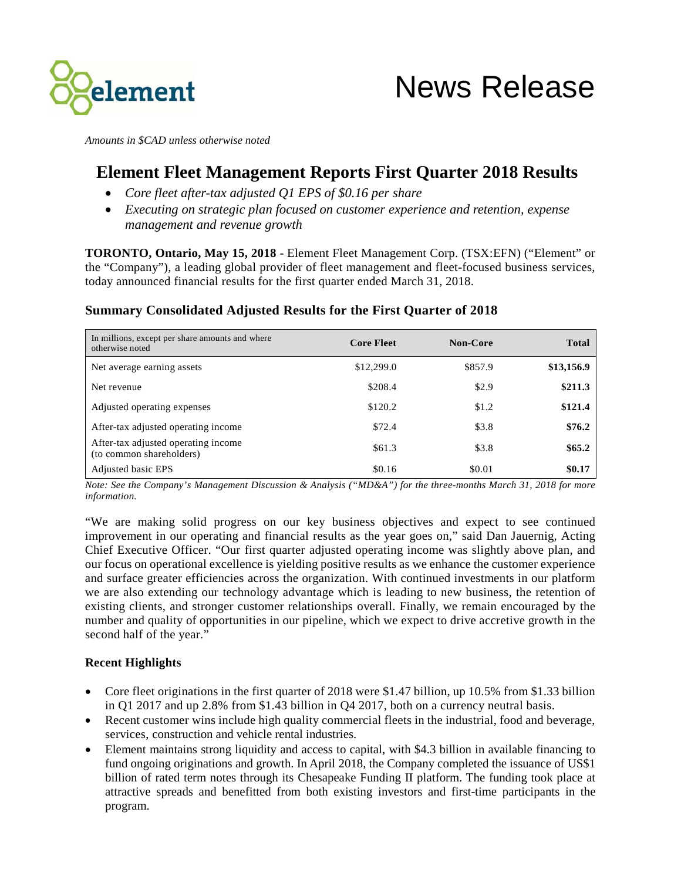

*Amounts in \$CAD unless otherwise noted*

# **Element Fleet Management Reports First Quarter 2018 Results**

- *Core fleet after-tax adjusted Q1 EPS of \$0.16 per share*
- *Executing on strategic plan focused on customer experience and retention, expense management and revenue growth*

**TORONTO, Ontario, May 15, 2018** - Element Fleet Management Corp. (TSX:EFN) ("Element" or the "Company"), a leading global provider of fleet management and fleet-focused business services, today announced financial results for the first quarter ended March 31, 2018.

## **Summary Consolidated Adjusted Results for the First Quarter of 2018**

| In millions, except per share amounts and where<br>otherwise noted | <b>Core Fleet</b> | <b>Non-Core</b> | <b>Total</b> |
|--------------------------------------------------------------------|-------------------|-----------------|--------------|
| Net average earning assets                                         | \$12,299.0        | \$857.9         | \$13,156.9   |
| Net revenue                                                        | \$208.4           | \$2.9           | \$211.3      |
| Adjusted operating expenses                                        | \$120.2           | \$1.2           | \$121.4      |
| After-tax adjusted operating income                                | \$72.4            | \$3.8           | \$76.2       |
| After-tax adjusted operating income<br>(to common shareholders)    | \$61.3            | \$3.8           | \$65.2       |
| Adjusted basic EPS                                                 | \$0.16            | \$0.01          | \$0.17       |

*Note: See the Company's Management Discussion & Analysis ("MD&A") for the three-months March 31, 2018 for more information.* 

"We are making solid progress on our key business objectives and expect to see continued improvement in our operating and financial results as the year goes on," said Dan Jauernig, Acting Chief Executive Officer. "Our first quarter adjusted operating income was slightly above plan, and our focus on operational excellence is yielding positive results as we enhance the customer experience and surface greater efficiencies across the organization. With continued investments in our platform we are also extending our technology advantage which is leading to new business, the retention of existing clients, and stronger customer relationships overall. Finally, we remain encouraged by the number and quality of opportunities in our pipeline, which we expect to drive accretive growth in the second half of the year."

#### **Recent Highlights**

- Core fleet originations in the first quarter of 2018 were \$1.47 billion, up 10.5% from \$1.33 billion in Q1 2017 and up 2.8% from \$1.43 billion in Q4 2017, both on a currency neutral basis.
- Recent customer wins include high quality commercial fleets in the industrial, food and beverage, services, construction and vehicle rental industries.
- Element maintains strong liquidity and access to capital, with \$4.3 billion in available financing to fund ongoing originations and growth. In April 2018, the Company completed the issuance of US\$1 billion of rated term notes through its Chesapeake Funding II platform. The funding took place at attractive spreads and benefitted from both existing investors and first-time participants in the program.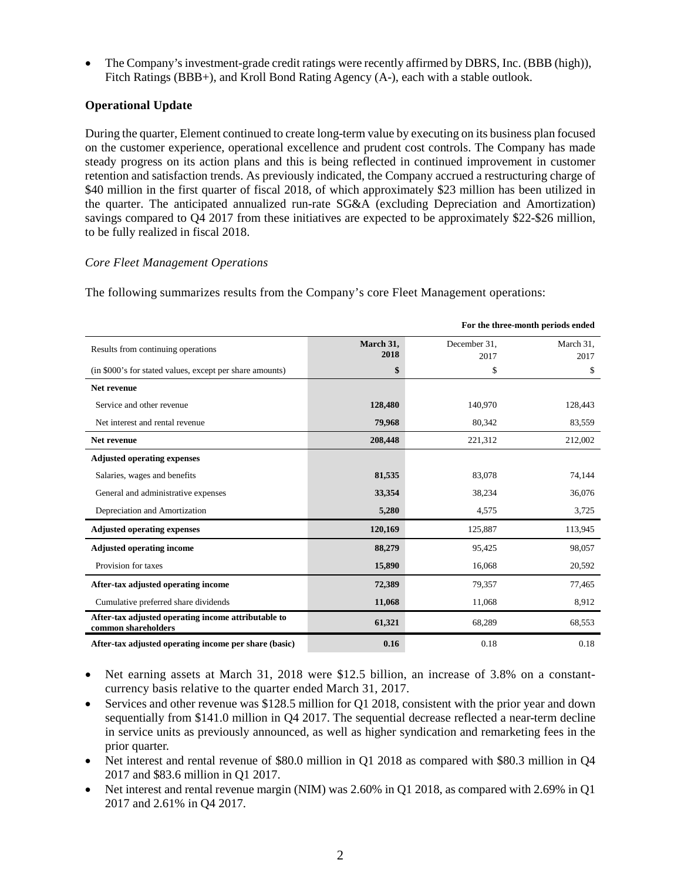• The Company's investment-grade credit ratings were recently affirmed by DBRS, Inc. (BBB (high)), Fitch Ratings (BBB+), and Kroll Bond Rating Agency (A-), each with a stable outlook.

## **Operational Update**

During the quarter, Element continued to create long-term value by executing on its business plan focused on the customer experience, operational excellence and prudent cost controls. The Company has made steady progress on its action plans and this is being reflected in continued improvement in customer retention and satisfaction trends. As previously indicated, the Company accrued a restructuring charge of \$40 million in the first quarter of fiscal 2018, of which approximately \$23 million has been utilized in the quarter. The anticipated annualized run-rate SG&A (excluding Depreciation and Amortization) savings compared to Q4 2017 from these initiatives are expected to be approximately \$22-\$26 million, to be fully realized in fiscal 2018.

### *Core Fleet Management Operations*

The following summarizes results from the Company's core Fleet Management operations:

|                                                                            | For the three-month periods ended |                      |                   |
|----------------------------------------------------------------------------|-----------------------------------|----------------------|-------------------|
| Results from continuing operations                                         | March 31,<br>2018                 | December 31,<br>2017 | March 31,<br>2017 |
| (in \$000's for stated values, except per share amounts)                   | \$                                | \$                   | \$                |
| Net revenue                                                                |                                   |                      |                   |
| Service and other revenue                                                  | 128,480                           | 140,970              | 128,443           |
| Net interest and rental revenue                                            | 79,968                            | 80,342               | 83,559            |
| Net revenue                                                                | 208,448                           | 221,312              | 212,002           |
| <b>Adjusted operating expenses</b>                                         |                                   |                      |                   |
| Salaries, wages and benefits                                               | 81,535                            | 83,078               | 74,144            |
| General and administrative expenses                                        | 33,354                            | 38,234               | 36,076            |
| Depreciation and Amortization                                              | 5,280                             | 4,575                | 3,725             |
| <b>Adjusted operating expenses</b>                                         | 120,169                           | 125,887              | 113,945           |
| <b>Adjusted operating income</b>                                           | 88,279                            | 95,425               | 98,057            |
| Provision for taxes                                                        | 15,890                            | 16,068               | 20,592            |
| After-tax adjusted operating income                                        | 72,389                            | 79,357               | 77,465            |
| Cumulative preferred share dividends                                       | 11,068                            | 11,068               | 8,912             |
| After-tax adjusted operating income attributable to<br>common shareholders | 61,321                            | 68,289               | 68,553            |
| After-tax adjusted operating income per share (basic)                      | 0.16                              | 0.18                 | 0.18              |

- Net earning assets at March 31, 2018 were \$12.5 billion, an increase of 3.8% on a constantcurrency basis relative to the quarter ended March 31, 2017.
- Services and other revenue was \$128.5 million for Q1 2018, consistent with the prior year and down sequentially from \$141.0 million in Q4 2017. The sequential decrease reflected a near-term decline in service units as previously announced, as well as higher syndication and remarketing fees in the prior quarter.
- Net interest and rental revenue of \$80.0 million in Q1 2018 as compared with \$80.3 million in Q4 2017 and \$83.6 million in Q1 2017.
- Net interest and rental revenue margin (NIM) was 2.60% in Q1 2018, as compared with 2.69% in Q1 2017 and 2.61% in Q4 2017.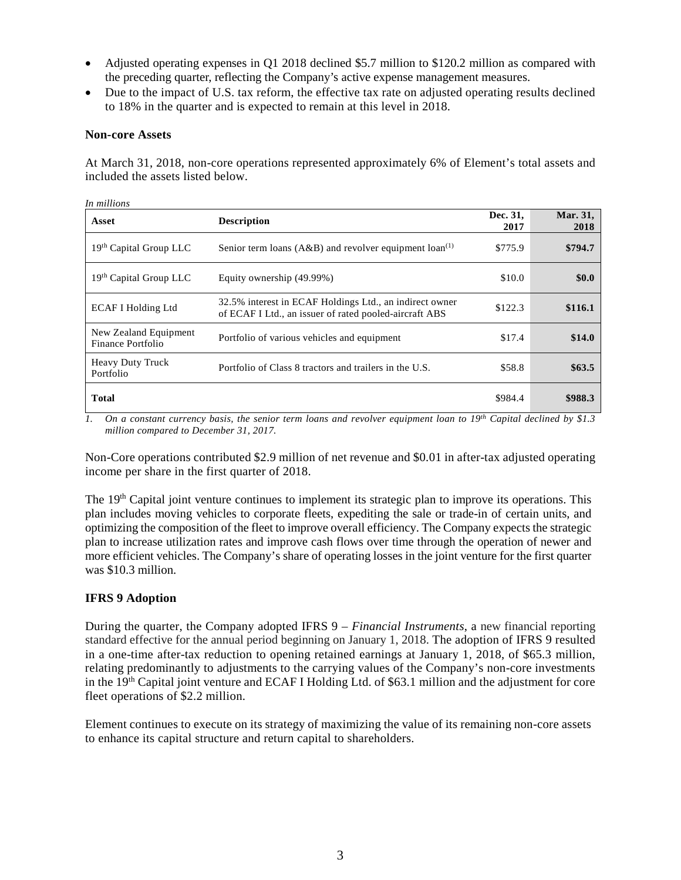- Adjusted operating expenses in Q1 2018 declined \$5.7 million to \$120.2 million as compared with the preceding quarter, reflecting the Company's active expense management measures.
- Due to the impact of U.S. tax reform, the effective tax rate on adjusted operating results declined to 18% in the quarter and is expected to remain at this level in 2018.

#### **Non-core Assets**

 $\overline{\phantom{a}}$ 

At March 31, 2018, non-core operations represented approximately 6% of Element's total assets and included the assets listed below.

| Asset                                      | <b>Description</b>                                                                                                | Dec. 31,<br>2017 | Mar. 31,<br>2018 |
|--------------------------------------------|-------------------------------------------------------------------------------------------------------------------|------------------|------------------|
| 19th Capital Group LLC                     | Senior term loans ( $A\&B$ ) and revolver equipment loan <sup>(1)</sup>                                           | \$775.9          | \$794.7          |
| 19th Capital Group LLC                     | Equity ownership (49.99%)                                                                                         | \$10.0           | \$0.0            |
| <b>ECAF I Holding Ltd</b>                  | 32.5% interest in ECAF Holdings Ltd., an indirect owner<br>of ECAF I Ltd., an issuer of rated pooled-aircraft ABS | \$122.3          | \$116.1          |
| New Zealand Equipment<br>Finance Portfolio | Portfolio of various vehicles and equipment                                                                       | \$17.4           | \$14.0           |
| <b>Heavy Duty Truck</b><br>Portfolio       | Portfolio of Class 8 tractors and trailers in the U.S.                                                            | \$58.8           | \$63.5           |
| Total                                      |                                                                                                                   | \$984.4          | \$988.3          |

*1. On a constant currency basis, the senior term loans and revolver equipment loan to 19th Capital declined by \$1.3 million compared to December 31, 2017.*

Non-Core operations contributed \$2.9 million of net revenue and \$0.01 in after-tax adjusted operating income per share in the first quarter of 2018.

The 19<sup>th</sup> Capital joint venture continues to implement its strategic plan to improve its operations. This plan includes moving vehicles to corporate fleets, expediting the sale or trade-in of certain units, and optimizing the composition of the fleet to improve overall efficiency. The Company expects the strategic plan to increase utilization rates and improve cash flows over time through the operation of newer and more efficient vehicles. The Company's share of operating losses in the joint venture for the first quarter was \$10.3 million.

#### **IFRS 9 Adoption**

During the quarter, the Company adopted IFRS 9 – *Financial Instruments*, a new financial reporting standard effective for the annual period beginning on January 1, 2018. The adoption of IFRS 9 resulted in a one-time after-tax reduction to opening retained earnings at January 1, 2018, of \$65.3 million, relating predominantly to adjustments to the carrying values of the Company's non-core investments in the 19<sup>th</sup> Capital joint venture and ECAF I Holding Ltd. of \$63.1 million and the adjustment for core fleet operations of \$2.2 million.

Element continues to execute on its strategy of maximizing the value of its remaining non-core assets to enhance its capital structure and return capital to shareholders.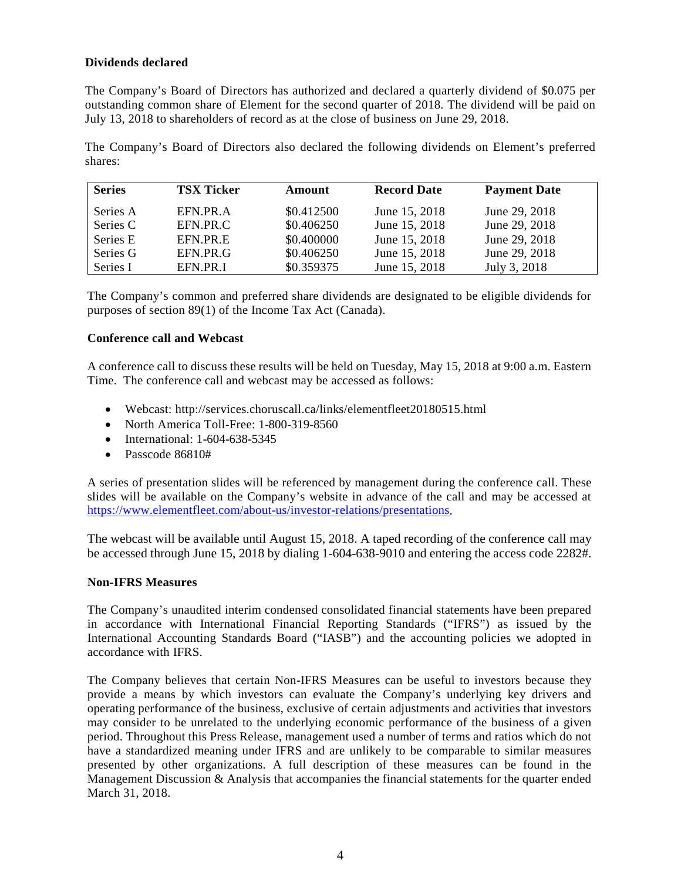#### **Dividends declared**

The Company's Board of Directors has authorized and declared a quarterly dividend of \$0.075 per outstanding common share of Element for the second quarter of 2018. The dividend will be paid on July 13, 2018 to shareholders of record as at the close of business on June 29, 2018.

The Company's Board of Directors also declared the following dividends on Element's preferred shares:

| <b>Series</b> | <b>TSX Ticker</b> | Amount     | <b>Record Date</b> | <b>Payment Date</b> |
|---------------|-------------------|------------|--------------------|---------------------|
| Series A      | EFN.PR.A          | \$0.412500 | June 15, 2018      | June 29, 2018       |
| Series C      | EFN.PR.C          | \$0.406250 | June 15, 2018      | June 29, 2018       |
| Series E      | EFN.PR.E          | \$0.400000 | June 15, 2018      | June 29, 2018       |
| Series G      | EFN.PR.G          | \$0.406250 | June 15, 2018      | June 29, 2018       |
| Series I      | EFN.PR.I          | \$0.359375 | June 15, 2018      | July 3, 2018        |

The Company's common and preferred share dividends are designated to be eligible dividends for purposes of section 89(1) of the Income Tax Act (Canada).

#### **Conference call and Webcast**

A conference call to discuss these results will be held on Tuesday, May 15, 2018 at 9:00 a.m. Eastern Time. The conference call and webcast may be accessed as follows:

- Webcast: http://services.choruscall.ca/links/elementfleet20180515.html
- North America Toll-Free: 1-800-319-8560
- International: 1-604-638-5345
- Passcode 86810#

A series of presentation slides will be referenced by management during the conference call. These slides will be available on the Company's website in advance of the call and may be accessed at [https://www.elementfleet.com/about-us/investor-relations/presentations.](https://www.elementfleet.com/about-us/investor-relations/presentations)

The webcast will be available until August 15, 2018. A taped recording of the conference call may be accessed through June 15, 2018 by dialing 1-604-638-9010 and entering the access code 2282#.

#### **Non-IFRS Measures**

The Company's unaudited interim condensed consolidated financial statements have been prepared in accordance with International Financial Reporting Standards ("IFRS") as issued by the International Accounting Standards Board ("IASB") and the accounting policies we adopted in accordance with IFRS.

The Company believes that certain Non-IFRS Measures can be useful to investors because they provide a means by which investors can evaluate the Company's underlying key drivers and operating performance of the business, exclusive of certain adjustments and activities that investors may consider to be unrelated to the underlying economic performance of the business of a given period. Throughout this Press Release, management used a number of terms and ratios which do not have a standardized meaning under IFRS and are unlikely to be comparable to similar measures presented by other organizations. A full description of these measures can be found in the Management Discussion & Analysis that accompanies the financial statements for the quarter ended March 31, 2018.